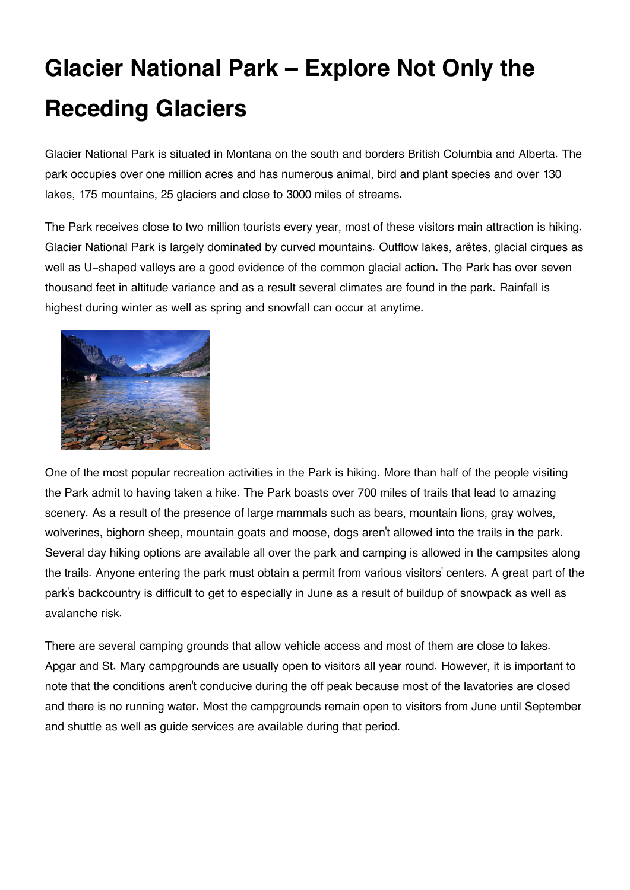## **Glacier National Park – Explore Not Only the Receding Glaciers**

Glacier National Park is situated in Montana on the south and borders British Columbia and Alberta. The park occupies over one million acres and has numerous animal, bird and plant species and over 130 lakes, 175 mountains, 25 glaciers and close to 3000 miles of streams.

The Park receives close to two million tourists every year, most of these visitors main attraction is hiking. Glacier National Park is largely dominated by curved mountains. Outflow lakes, arêtes, glacial cirques as well as U-shaped valleys are a good evidence of the common glacial action. The Park has over seven thousand feet in altitude variance and as a result several climates are found in the park. Rainfall is highest during winter as well as spring and snowfall can occur at anytime.



One of the most popular recreation activities in the Park is hiking. More than half of the people visiting the Park admit to having taken a hike. The Park boasts over 700 miles of trails that lead to amazing scenery. As a result of the presence of large mammals such as bears, mountain lions, gray wolves, wolverines, bighorn sheep, mountain goats and moose, dogs aren't allowed into the trails in the park. Several day hiking options are available all over the park and camping is allowed in the campsites along the trails. Anyone entering the park must obtain a permit from various visitors' centers. A great part of the park's backcountry is difficult to get to especially in June as a result of buildup of snowpack as well as avalanche risk.

There are several camping grounds that allow vehicle access and most of them are close to lakes. Apgar and St. Mary campgrounds are usually open to visitors all year round. However, it is important to note that the conditions aren't conducive during the off peak because most of the lavatories are closed and there is no running water. Most the campgrounds remain open to visitors from June until September and shuttle as well as guide services are available during that period.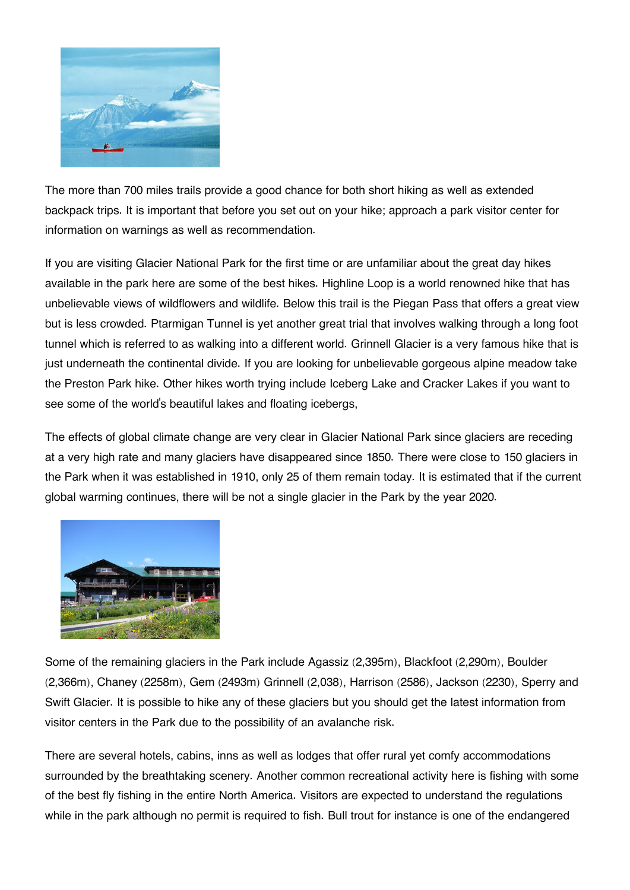

The more than 700 miles trails provide a good chance for both short hiking as well as extended backpack trips. It is important that before you set out on your hike; approach a park visitor center for information on warnings as well as recommendation.

If you are visiting Glacier National Park for the first time or are unfamiliar about the great day hikes available in the park here are some of the best hikes. Highline Loop is a world renowned hike that has unbelievable views of wildflowers and wildlife. Below this trail is the Piegan Pass that offers a great view but is less crowded. Ptarmigan Tunnel is yet another great trial that involves walking through a long foot tunnel which is referred to as walking into a different world. Grinnell Glacier is a very famous hike that is just underneath the continental divide. If you are looking for unbelievable gorgeous alpine meadow take the Preston Park hike. Other hikes worth trying include Iceberg Lake and Cracker Lakes if you want to see some of the world's beautiful lakes and floating icebergs,

The effects of global climate change are very clear in Glacier National Park since glaciers are receding at a very high rate and many glaciers have disappeared since 1850. There were close to 150 glaciers in the Park when it was established in 1910, only 25 of them remain today. It is estimated that if the current global warming continues, there will be not a single glacier in the Park by the year 2020.



Some of the remaining glaciers in the Park include Agassiz (2,395m), Blackfoot (2,290m), Boulder (2,366m), Chaney (2258m), Gem (2493m) Grinnell (2,038), Harrison (2586), Jackson (2230), Sperry and Swift Glacier. It is possible to hike any of these glaciers but you should get the latest information from visitor centers in the Park due to the possibility of an avalanche risk.

There are several hotels, cabins, inns as well as lodges that offer rural yet comfy accommodations surrounded by the breathtaking scenery. Another common recreational activity here is fishing with some of the best fly fishing in the entire North America. Visitors are expected to understand the regulations while in the park although no permit is required to fish. Bull trout for instance is one of the endangered